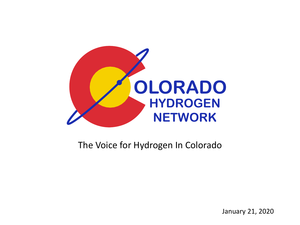

#### The Voice for Hydrogen In Colorado

January 21, 2020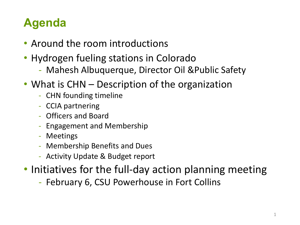### **Agenda**

- Around the room introductions
- Hydrogen fueling stations in Colorado
	- Mahesh Albuquerque, Director Oil &Public Safety
- What is CHN Description of the organization
	- CHN founding timeline
	- CCIA partnering
	- Officers and Board
	- Engagement and Membership
	- Meetings
	- Membership Benefits and Dues
	- Activity Update & Budget report
- Initiatives for the full-day action planning meeting
	- February 6, CSU Powerhouse in Fort Collins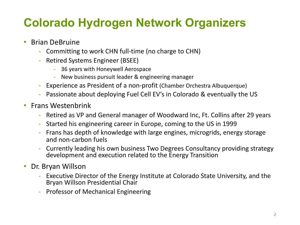### **Colorado Hydrogen Network Organizers**

- Brian DeBruine
	- Committing to work CHN full-time (no charge to CHN)
	- Retired Systems Engineer (BSEE)
		- 36 years with Honeywell Aerospace
		- New business pursuit leader & engineering manager
	- Experience as President of a non-profit (Chamber Orchestra Albuquerque)
	- Passionate about deploying Fuel Cell EV's in Colorado & eventually the US
- Frans Westenbrink
	- Retired as VP and General manager of Woodward Inc, Ft. Collins after 29 years
	- Started his engineering career in Europe, coming to the US in 1999
	- Frans has depth of knowledge with large engines, microgrids, energy storage and non-carbon fuels
	- Currently leading his own business Two Degrees Consultancy providing strategy development and execution related to the Energy Transition
- Dr. Bryan Willson
	- Executive Director of the Energy Institute at Colorado State University, and the Bryan Willson Presidential Chair
	- Professor of Mechanical Engineering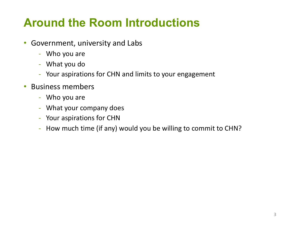### **Around the Room Introductions**

- Government, university and Labs
	- Who you are
	- What you do
	- Your aspirations for CHN and limits to your engagement
- Business members
	- Who you are
	- What your company does
	- Your aspirations for CHN
	- How much time (if any) would you be willing to commit to CHN?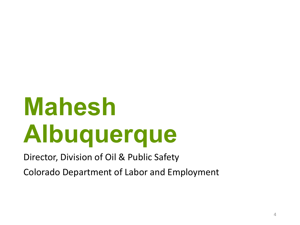# **Mahesh Albuquerque**

Director, Division of Oil & Public Safety

Colorado Department of Labor and Employment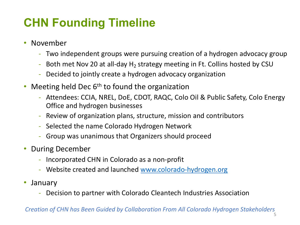### **CHN Founding Timeline**

- November
	- Two independent groups were pursuing creation of a hydrogen advocacy group
	- Both met Nov 20 at all-day  $H_2$  strategy meeting in Ft. Collins hosted by CSU
	- Decided to jointly create a hydrogen advocacy organization
- Meeting held Dec  $6<sup>th</sup>$  to found the organization
	- Attendees: CCIA, NREL, DoE, CDOT, RAQC, Colo Oil & Public Safety, Colo Energy Office and hydrogen businesses
	- Review of organization plans, structure, mission and contributors
	- Selected the name Colorado Hydrogen Network
	- Group was unanimous that Organizers should proceed
- During December
	- Incorporated CHN in Colorado as a non-profit
	- Website created and launched [www.colorado-hydrogen.org](http://www.colorado-hydrogen.org/)
- January
	- Decision to partner with Colorado Cleantech Industries Association

*Creation of CHN has Been Guided by Collaboration From All Colorado Hydrogen Stakeholders*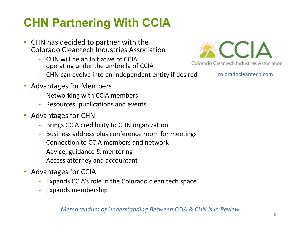### **CHN Partnering With CCIA**

- CHN has decided to partner with the Colorado Cleantech Industries Association
	- CHN will be an Initiative of CCIA operating under the umbrella of CCIA
	- CHN can evolve into an independent entity if desired
- Advantages for Members
	- Networking with CCIA members
	- Resources, publications and events
- Advantages for CHN
	- Brings CCIA credibility to CHN organization
	- Business address plus conference room for meetings
	- Connection to CCIA members and network
	- Advice, guidance & mentoring
	- Access attorney and accountant
- Advantages for CCIA
	- Expands CCIA's role in the Colorado clean tech space
	- Expands membership



coloradocleantech.com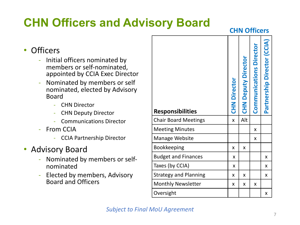### **CHN Officers and Advisory Board**

**CHN Officers**

#### • Officers

- Initial officers nominated by members or self-nominated, appointed by CCIA Exec Director
- Nominated by members or self nominated, elected by Advisory Board
	- CHN Director
	- CHN Deputy Director
	- Communications Director
- From CCIA
	- CCIA Partnership Director

#### • Advisory Board

- Nominated by members or selfnominated
- Elected by members, Advisory Board and Officers

| <b>Responsibilities</b>      | <b>CHN Director</b> | <b>CHN Deputy Director</b> | <b>Communications Director</b> | Partnership Director (CCIA) |
|------------------------------|---------------------|----------------------------|--------------------------------|-----------------------------|
| <b>Chair Board Meetings</b>  | X                   | Alt                        |                                |                             |
| <b>Meeting Minutes</b>       |                     |                            | X                              |                             |
| <b>Manage Website</b>        |                     |                            | x                              |                             |
| <b>Bookkeeping</b>           | X                   | X                          |                                |                             |
| <b>Budget and Finances</b>   | x                   |                            |                                | x                           |
| Taxes (by CCIA)              | x                   |                            |                                | x                           |
| <b>Strategy and Planning</b> | X                   | X                          |                                | x                           |
| <b>Monthly Newsletter</b>    | X                   | X                          | Χ                              |                             |
| Oversight                    |                     |                            |                                | Χ                           |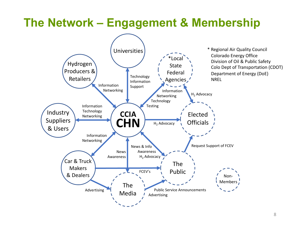#### **The Network – Engagement & Membership**

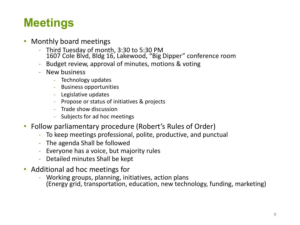### **Meetings**

- Monthly board meetings
	- Third Tuesday of month, 3:30 to 5:30 PM 1607 Cole Blvd, Bldg 16, Lakewood, "Big Dipper" conference room
	- Budget review, approval of minutes, motions & voting
	- New business
		- Technology updates
		- Business opportunities
		- Legislative updates
		- Propose or status of initiatives & projects
		- Trade show discussion
		- Subjects for ad hoc meetings
- Follow parliamentary procedure (Robert's Rules of Order)
	- To keep meetings professional, polite, productive, and punctual
	- The agenda Shall be followed
	- Everyone has a voice, but majority rules
	- Detailed minutes Shall be kept
- Additional ad hoc meetings for
	- Working groups, planning, initiatives, action plans (Energy grid, transportation, education, new technology, funding, marketing)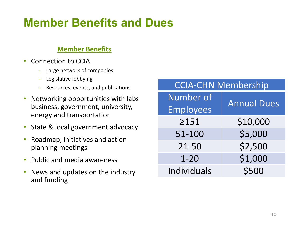#### **Member Benefits and Dues**

#### **Member Benefits**

- Connection to CCIA
	- Large network of companies
	- Legislative lobbying
	- Resources, events, and publications
- Networking opportunities with labs business, government, university, energy and transportation
- State & local government advocacy
- Roadmap, initiatives and action planning meetings
- Public and media awareness
- News and updates on the industry and funding

| <b>CCIA-CHN Membership</b> |                    |  |  |  |
|----------------------------|--------------------|--|--|--|
| <b>Number of</b>           | <b>Annual Dues</b> |  |  |  |
| <b>Employees</b>           |                    |  |  |  |
| >151                       | \$10,000           |  |  |  |
| 51-100                     | \$5,000            |  |  |  |
| 21-50                      | \$2,500            |  |  |  |
| $1 - 20$                   | \$1,000            |  |  |  |
| Individuals                | \$500              |  |  |  |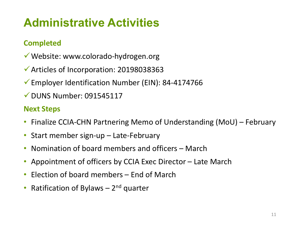### **Administrative Activities**

#### **Completed**

- $\checkmark$  Website: www.colorado-hydrogen.org
- $\checkmark$  Articles of Incorporation: 20198038363
- Employer Identification Number (EIN): 84-4174766
- $\nu$  DUNS Number: 091545117

#### **Next Steps**

- Finalize CCIA-CHN Partnering Memo of Understanding (MoU) February
- Start member sign-up Late-February
- Nomination of board members and officers March
- Appointment of officers by CCIA Exec Director Late March
- Election of board members End of March
- Ratification of Bylaws  $-2<sup>nd</sup>$  quarter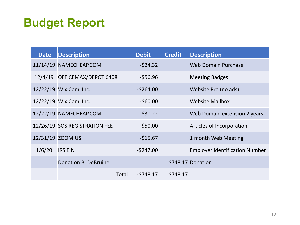#### **Budget Report**

| <b>Date</b>      | <b>Description</b>            | <b>Debit</b> | <b>Credit</b> | <b>Description</b>                    |
|------------------|-------------------------------|--------------|---------------|---------------------------------------|
|                  | 11/14/19 NAMECHEAP.COM        | $-524.32$    |               | <b>Web Domain Purchase</b>            |
|                  | 12/4/19 OFFICEMAX/DEPOT 6408  | $-556.96$    |               | <b>Meeting Badges</b>                 |
|                  | 12/22/19 Wix.Com Inc.         | $-5264.00$   |               | Website Pro (no ads)                  |
|                  | 12/22/19 Wix.Com Inc.         | $-560.00$    |               | <b>Website Mailbox</b>                |
|                  | 12/22/19 NAMECHEAP.COM        | $-530.22$    |               | Web Domain extension 2 years          |
|                  | 12/26/19 SOS REGISTRATION FEE | $-550.00$    |               | Articles of Incorporation             |
| 12/31/19 ZOOM.US |                               | $-515.67$    |               | 1 month Web Meeting                   |
| 1/6/20           | <b>IRS EIN</b>                | $-5247.00$   |               | <b>Employer Identification Number</b> |
|                  | <b>Donation B. DeBruine</b>   |              |               | \$748.17 Donation                     |
|                  | Total                         | $-5748.17$   | \$748.17      |                                       |